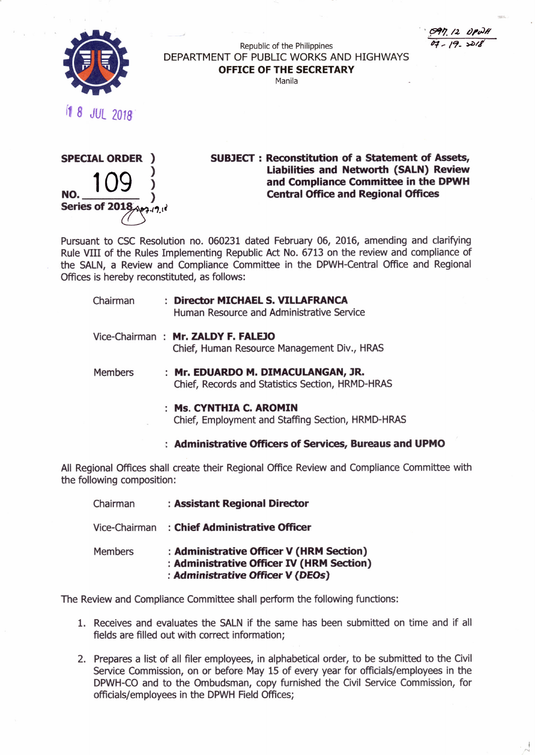*...~'l.* /.2, *tJl'uJ/i b:{ - 19- ).4)/,/*

I '"



Republic of the Philippines DEPARTMENT OF PUBLIC WORKS AND HIGHWAYS **OFFICE OF THE SECRETARY**

Manila

*<sup>r</sup>* 8 JUl *2018'*



**SUBJECT:** Reconstitution of **a Statement of Assets, Liabilities and Networth (SALN) Review and Compliance Committee in the DPWH Central Office and Regional Offices**

Pursuant to CSC Resolution no. 060231 dated February 06, 2016, amending and clarifying Rule VIII of the Rules Implementing Republic Act No. 6713 on the review and compliance of the SALN, a Review and Compliance Committee in the DPWH-Central Office and Regional Offices is hereby reconstituted, as follows:

| Chairman       | : Director MICHAEL S. VILLAFRANCA<br>Human Resource and Administrative Service                                                                                                                                                                                                                                                                                                                                           |
|----------------|--------------------------------------------------------------------------------------------------------------------------------------------------------------------------------------------------------------------------------------------------------------------------------------------------------------------------------------------------------------------------------------------------------------------------|
|                | Vice-Chairman: Mr. ZALDY F. FALEJO<br>Chief, Human Resource Management Div., HRAS                                                                                                                                                                                                                                                                                                                                        |
| <b>Members</b> | : Mr. EDUARDO M. DIMACULANGAN, JR.<br>$\alpha$ , $\beta$ , $\beta$ , $\beta$ , $\beta$ , $\beta$ , $\beta$ , $\beta$ , $\beta$ , $\beta$ , $\beta$ , $\beta$ , $\beta$ , $\beta$ , $\beta$ , $\beta$ , $\beta$ , $\beta$ , $\beta$ , $\beta$ , $\beta$ , $\beta$ , $\beta$ , $\beta$ , $\beta$ , $\beta$ , $\beta$ , $\beta$ , $\beta$ , $\beta$ , $\beta$ , $\beta$ , $\beta$ , $\beta$ , $\beta$ , $\beta$ , $\beta$ , |

Chief, Records and Statistics Section, HRMD-HRAS

- **Ms. CYNTHIA C. AROMIN** Chief, Employment and Staffing Section, HRMD-HRAS
- **Administrative Officers of Services, Bureaus and UPMO**

All Regional Offices shall create their Regional Office Review and Compliance Committee with the following composition:

| Chairman       | : Assistant Regional Director                                                                                              |
|----------------|----------------------------------------------------------------------------------------------------------------------------|
| Vice-Chairman  | : Chief Administrative Officer                                                                                             |
| <b>Members</b> | : Administrative Officer V (HRM Section)<br>: Administrative Officer IV (HRM Section)<br>: Administrative Officer V (DEOs) |

The Review and Compliance Committee shall perform the following functions:

- 1. Receives and evaluates the SALN if the same has been submitted on time and if all fields are filled out with correct information;
- 2. Prepares a list of all filer employees, in alphabetical order, to be submitted to the Civil Service Commission, on or before May 15 of every year for officials/employees in the DPWH-CO and to the Ombudsman, copy furnished the Civil Service Commission, for officials/employees in the DPWH Field Offices;